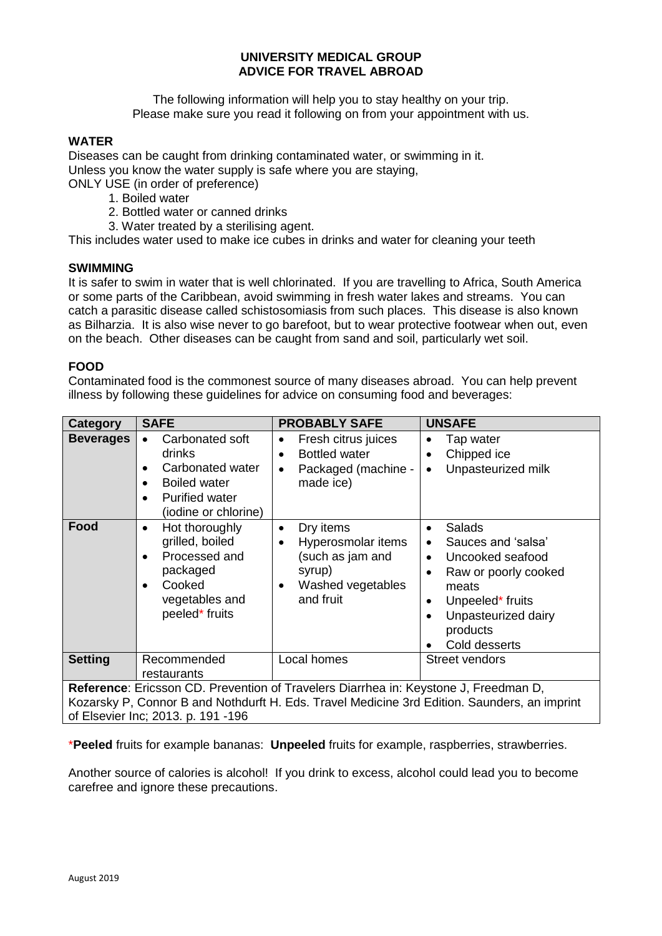# **UNIVERSITY MEDICAL GROUP ADVICE FOR TRAVEL ABROAD**

The following information will help you to stay healthy on your trip. Please make sure you read it following on from your appointment with us.

### **WATER**

Diseases can be caught from drinking contaminated water, or swimming in it. Unless you know the water supply is safe where you are staying, ONLY USE (in order of preference)

- 1. Boiled water
- 2. Bottled water or canned drinks
- 3. Water treated by a sterilising agent.

This includes water used to make ice cubes in drinks and water for cleaning your teeth

#### **SWIMMING**

It is safer to swim in water that is well chlorinated. If you are travelling to Africa, South America or some parts of the Caribbean, avoid swimming in fresh water lakes and streams. You can catch a parasitic disease called schistosomiasis from such places. This disease is also known as Bilharzia. It is also wise never to go barefoot, but to wear protective footwear when out, even on the beach. Other diseases can be caught from sand and soil, particularly wet soil.

#### **FOOD**

Contaminated food is the commonest source of many diseases abroad. You can help prevent illness by following these guidelines for advice on consuming food and beverages:

| Category                                                                                                                                                                                                                   | <b>SAFE</b>                                                                                                                                                  | <b>PROBABLY SAFE</b>                                                                                                      | <b>UNSAFE</b>                                                                                                                                                                                                 |  |
|----------------------------------------------------------------------------------------------------------------------------------------------------------------------------------------------------------------------------|--------------------------------------------------------------------------------------------------------------------------------------------------------------|---------------------------------------------------------------------------------------------------------------------------|---------------------------------------------------------------------------------------------------------------------------------------------------------------------------------------------------------------|--|
| <b>Beverages</b>                                                                                                                                                                                                           | Carbonated soft<br>drinks<br>Carbonated water<br>$\bullet$<br><b>Boiled water</b><br>$\bullet$<br><b>Purified water</b><br>$\bullet$<br>(iodine or chlorine) | Fresh citrus juices<br>$\bullet$<br><b>Bottled water</b><br>$\bullet$<br>Packaged (machine -<br>$\bullet$<br>made ice)    | Tap water<br>٠<br>Chipped ice<br>Unpasteurized milk                                                                                                                                                           |  |
| Food                                                                                                                                                                                                                       | Hot thoroughly<br>$\bullet$<br>grilled, boiled<br>Processed and<br>$\bullet$<br>packaged<br>Cooked<br>$\bullet$<br>vegetables and<br>peeled* fruits          | Dry items<br>$\bullet$<br>Hyperosmolar items<br>(such as jam and<br>syrup)<br>Washed vegetables<br>$\bullet$<br>and fruit | Salads<br>$\bullet$<br>Sauces and 'salsa'<br>Uncooked seafood<br>$\bullet$<br>Raw or poorly cooked<br>$\bullet$<br>meats<br>Unpeeled* fruits<br>$\bullet$<br>Unpasteurized dairy<br>products<br>Cold desserts |  |
| <b>Setting</b>                                                                                                                                                                                                             | Recommended<br>restaurants                                                                                                                                   | Local homes                                                                                                               | Street vendors                                                                                                                                                                                                |  |
| Reference: Ericsson CD. Prevention of Travelers Diarrhea in: Keystone J, Freedman D,<br>Kozarsky P, Connor B and Nothdurft H. Eds. Travel Medicine 3rd Edition. Saunders, an imprint<br>of Elsevier Inc; 2013. p. 191 -196 |                                                                                                                                                              |                                                                                                                           |                                                                                                                                                                                                               |  |

\***Peeled** fruits for example bananas: **Unpeeled** fruits for example, raspberries, strawberries.

Another source of calories is alcohol! If you drink to excess, alcohol could lead you to become carefree and ignore these precautions.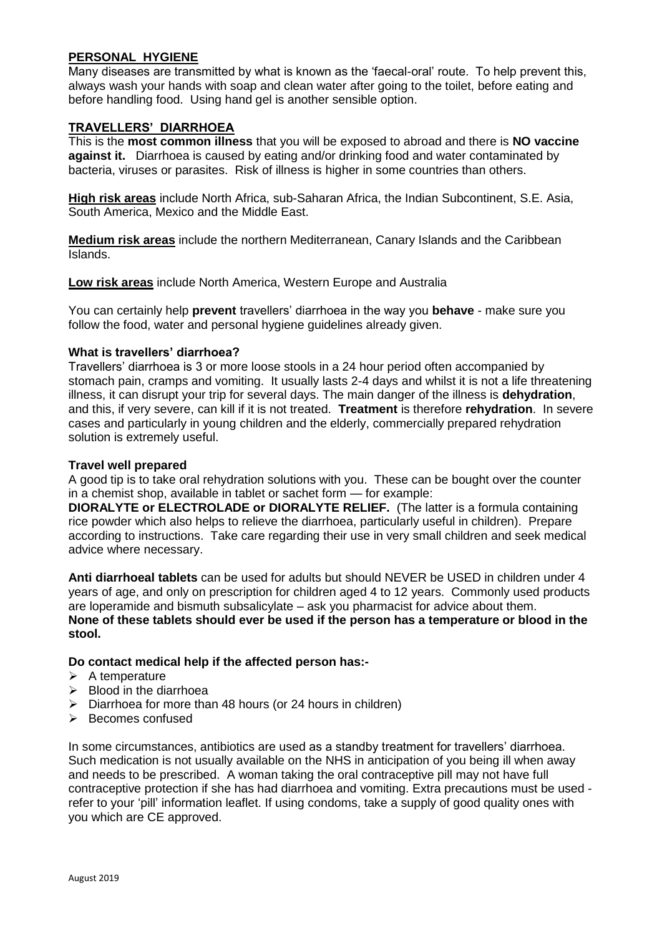### **PERSONAL HYGIENE**

Many diseases are transmitted by what is known as the 'faecal-oral' route. To help prevent this, always wash your hands with soap and clean water after going to the toilet, before eating and before handling food. Using hand gel is another sensible option.

#### **TRAVELLERS' DIARRHOEA**

This is the **most common illness** that you will be exposed to abroad and there is **NO vaccine against it.** Diarrhoea is caused by eating and/or drinking food and water contaminated by bacteria, viruses or parasites. Risk of illness is higher in some countries than others.

**High risk areas** include North Africa, sub-Saharan Africa, the Indian Subcontinent, S.E. Asia, South America, Mexico and the Middle East.

**Medium risk areas** include the northern Mediterranean, Canary Islands and the Caribbean Islands.

**Low risk areas** include North America, Western Europe and Australia

You can certainly help **prevent** travellers' diarrhoea in the way you **behave** - make sure you follow the food, water and personal hygiene guidelines already given.

#### **What is travellers' diarrhoea?**

Travellers' diarrhoea is 3 or more loose stools in a 24 hour period often accompanied by stomach pain, cramps and vomiting. It usually lasts 2-4 days and whilst it is not a life threatening illness, it can disrupt your trip for several days. The main danger of the illness is **dehydration**, and this, if very severe, can kill if it is not treated. **Treatment** is therefore **rehydration**. In severe cases and particularly in young children and the elderly, commercially prepared rehydration solution is extremely useful.

#### **Travel well prepared**

A good tip is to take oral rehydration solutions with you. These can be bought over the counter in a chemist shop, available in tablet or sachet form — for example:

**DIORALYTE or ELECTROLADE or DIORALYTE RELIEF.** (The latter is a formula containing rice powder which also helps to relieve the diarrhoea, particularly useful in children). Prepare according to instructions. Take care regarding their use in very small children and seek medical advice where necessary.

**Anti diarrhoeal tablets** can be used for adults but should NEVER be USED in children under 4 years of age, and only on prescription for children aged 4 to 12 years. Commonly used products are loperamide and bismuth subsalicylate – ask you pharmacist for advice about them. **None of these tablets should ever be used if the person has a temperature or blood in the stool.** 

#### **Do contact medical help if the affected person has:-**

- $\triangleright$  A temperature
- $\triangleright$  Blood in the diarrhoea
- $\triangleright$  Diarrhoea for more than 48 hours (or 24 hours in children)
- $\triangleright$  Becomes confused

In some circumstances, antibiotics are used as a standby treatment for travellers' diarrhoea. Such medication is not usually available on the NHS in anticipation of you being ill when away and needs to be prescribed. A woman taking the oral contraceptive pill may not have full contraceptive protection if she has had diarrhoea and vomiting. Extra precautions must be used refer to your 'pill' information leaflet. If using condoms, take a supply of good quality ones with you which are CE approved.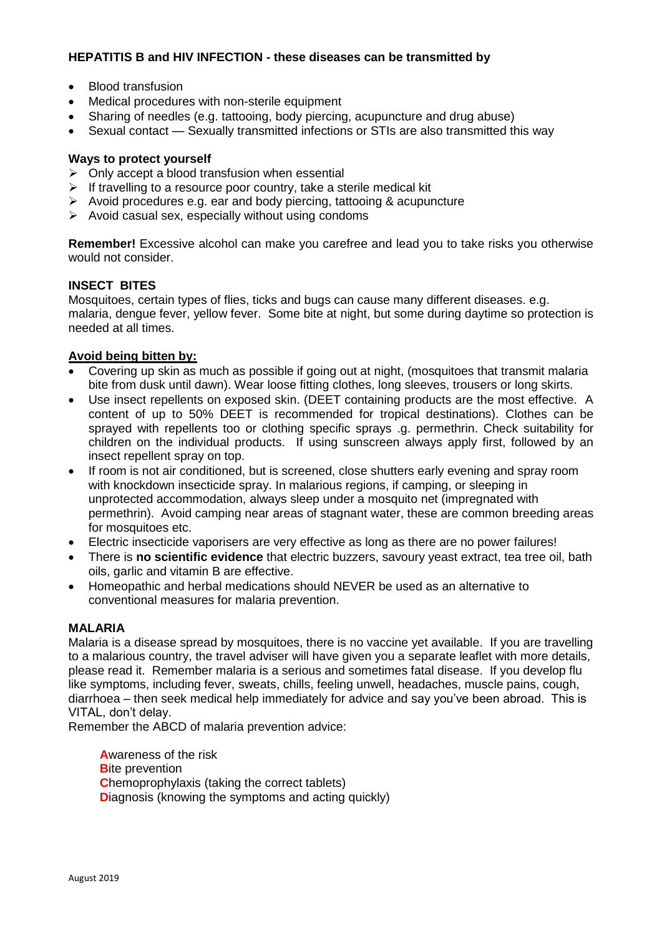# **HEPATITIS B and HIV INFECTION - these diseases can be transmitted by**

- Blood transfusion
- Medical procedures with non-sterile equipment
- Sharing of needles (e.g. tattooing, body piercing, acupuncture and drug abuse)
- Sexual contact Sexually transmitted infections or STIs are also transmitted this way

#### **Ways to protect yourself**

- $\triangleright$  Only accept a blood transfusion when essential
- $\triangleright$  If travelling to a resource poor country, take a sterile medical kit
- $\triangleright$  Avoid procedures e.g. ear and body piercing, tattooing & acupuncture
- $\triangleright$  Avoid casual sex, especially without using condoms

**Remember!** Excessive alcohol can make you carefree and lead you to take risks you otherwise would not consider.

# **INSECT BITES**

Mosquitoes, certain types of flies, ticks and bugs can cause many different diseases. e.g. malaria, dengue fever, yellow fever. Some bite at night, but some during daytime so protection is needed at all times.

# **Avoid being bitten by:**

- Covering up skin as much as possible if going out at night, (mosquitoes that transmit malaria bite from dusk until dawn). Wear loose fitting clothes, long sleeves, trousers or long skirts.
- Use insect repellents on exposed skin. (DEET containing products are the most effective. A content of up to 50% DEET is recommended for tropical destinations). Clothes can be sprayed with repellents too or clothing specific sprays .g. permethrin. Check suitability for children on the individual products. If using sunscreen always apply first, followed by an insect repellent spray on top.
- If room is not air conditioned, but is screened, close shutters early evening and spray room with knockdown insecticide spray. In malarious regions, if camping, or sleeping in unprotected accommodation, always sleep under a mosquito net (impregnated with permethrin). Avoid camping near areas of stagnant water, these are common breeding areas for mosquitoes etc.
- Electric insecticide vaporisers are very effective as long as there are no power failures!
- There is **no scientific evidence** that electric buzzers, savoury yeast extract, tea tree oil, bath oils, garlic and vitamin B are effective.
- Homeopathic and herbal medications should NEVER be used as an alternative to conventional measures for malaria prevention.

## **MALARIA**

Malaria is a disease spread by mosquitoes, there is no vaccine yet available. If you are travelling to a malarious country, the travel adviser will have given you a separate leaflet with more details, please read it. Remember malaria is a serious and sometimes fatal disease. If you develop flu like symptoms, including fever, sweats, chills, feeling unwell, headaches, muscle pains, cough, diarrhoea – then seek medical help immediately for advice and say you've been abroad. This is VITAL, don't delay.

Remember the ABCD of malaria prevention advice:

**A**wareness of the risk **B**ite prevention **Chemoprophylaxis (taking the correct tablets) Diagnosis (knowing the symptoms and acting quickly)**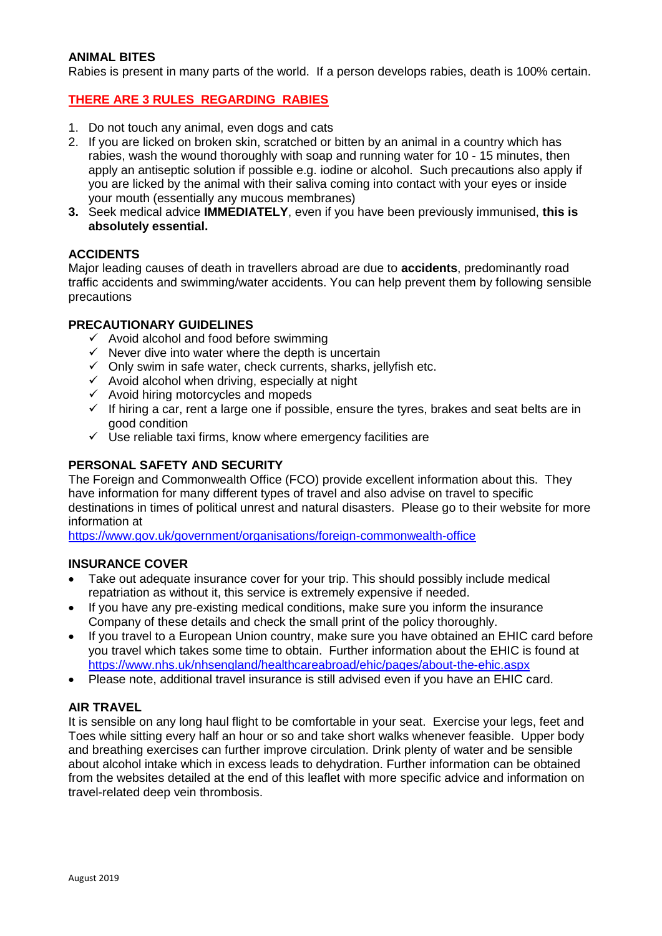# **ANIMAL BITES**

Rabies is present in many parts of the world. If a person develops rabies, death is 100% certain.

# **THERE ARE 3 RULES REGARDING RABIES**

- 1. Do not touch any animal, even dogs and cats
- 2. If you are licked on broken skin, scratched or bitten by an animal in a country which has rabies, wash the wound thoroughly with soap and running water for 10 - 15 minutes, then apply an antiseptic solution if possible e.g. iodine or alcohol. Such precautions also apply if you are licked by the animal with their saliva coming into contact with your eyes or inside your mouth (essentially any mucous membranes)
- **3.** Seek medical advice **IMMEDIATELY**, even if you have been previously immunised, **this is absolutely essential.**

#### **ACCIDENTS**

Major leading causes of death in travellers abroad are due to **accidents**, predominantly road traffic accidents and swimming/water accidents. You can help prevent them by following sensible precautions

#### **PRECAUTIONARY GUIDELINES**

- $\checkmark$  Avoid alcohol and food before swimming
- $\checkmark$  Never dive into water where the depth is uncertain
- $\checkmark$  Only swim in safe water, check currents, sharks, jellyfish etc.
- $\checkmark$  Avoid alcohol when driving, especially at night
- $\checkmark$  Avoid hiring motorcycles and mopeds
- $\checkmark$  If hiring a car, rent a large one if possible, ensure the tyres, brakes and seat belts are in good condition
- $\checkmark$  Use reliable taxi firms, know where emergency facilities are

#### **PERSONAL SAFETY AND SECURITY**

The Foreign and Commonwealth Office (FCO) provide excellent information about this. They have information for many different types of travel and also advise on travel to specific destinations in times of political unrest and natural disasters. Please go to their website for more information at

<https://www.gov.uk/government/organisations/foreign-commonwealth-office>

#### **INSURANCE COVER**

- Take out adequate insurance cover for your trip. This should possibly include medical repatriation as without it, this service is extremely expensive if needed.
- If you have any pre-existing medical conditions, make sure you inform the insurance Company of these details and check the small print of the policy thoroughly.
- If you travel to a European Union country, make sure you have obtained an EHIC card before you travel which takes some time to obtain. Further information about the EHIC is found at <https://www.nhs.uk/nhsengland/healthcareabroad/ehic/pages/about-the-ehic.aspx>
- Please note, additional travel insurance is still advised even if you have an EHIC card.

#### **AIR TRAVEL**

It is sensible on any long haul flight to be comfortable in your seat. Exercise your legs, feet and Toes while sitting every half an hour or so and take short walks whenever feasible. Upper body and breathing exercises can further improve circulation. Drink plenty of water and be sensible about alcohol intake which in excess leads to dehydration. Further information can be obtained from the websites detailed at the end of this leaflet with more specific advice and information on travel-related deep vein thrombosis.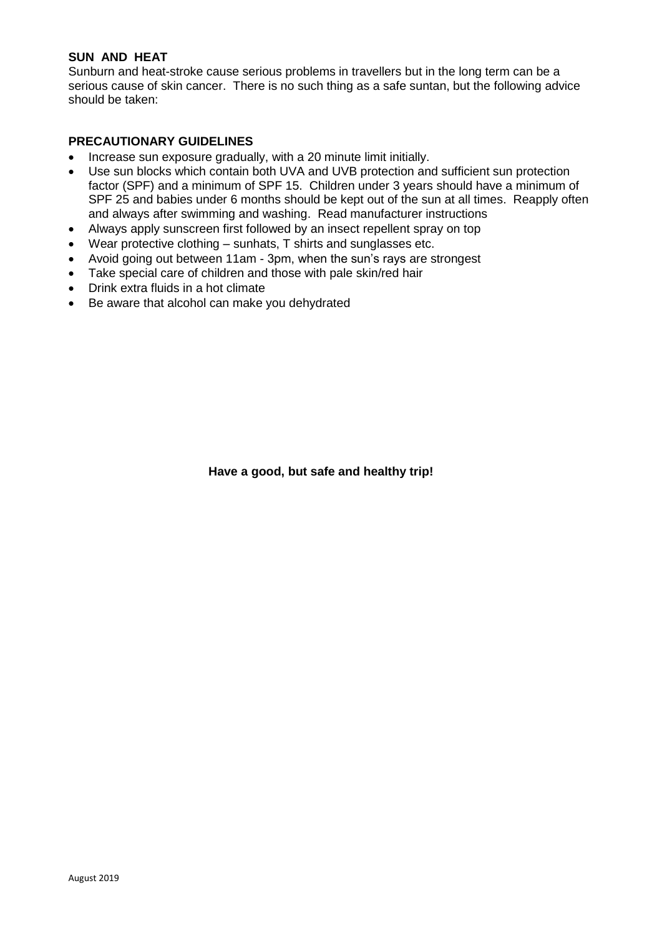## **SUN AND HEAT**

Sunburn and heat-stroke cause serious problems in travellers but in the long term can be a serious cause of skin cancer. There is no such thing as a safe suntan, but the following advice should be taken:

# **PRECAUTIONARY GUIDELINES**

- Increase sun exposure gradually, with a 20 minute limit initially.
- Use sun blocks which contain both UVA and UVB protection and sufficient sun protection factor (SPF) and a minimum of SPF 15. Children under 3 years should have a minimum of SPF 25 and babies under 6 months should be kept out of the sun at all times. Reapply often and always after swimming and washing. Read manufacturer instructions
- Always apply sunscreen first followed by an insect repellent spray on top
- Wear protective clothing sunhats, T shirts and sunglasses etc.
- Avoid going out between 11am 3pm, when the sun's rays are strongest
- Take special care of children and those with pale skin/red hair
- Drink extra fluids in a hot climate
- Be aware that alcohol can make you dehydrated

**Have a good, but safe and healthy trip!**